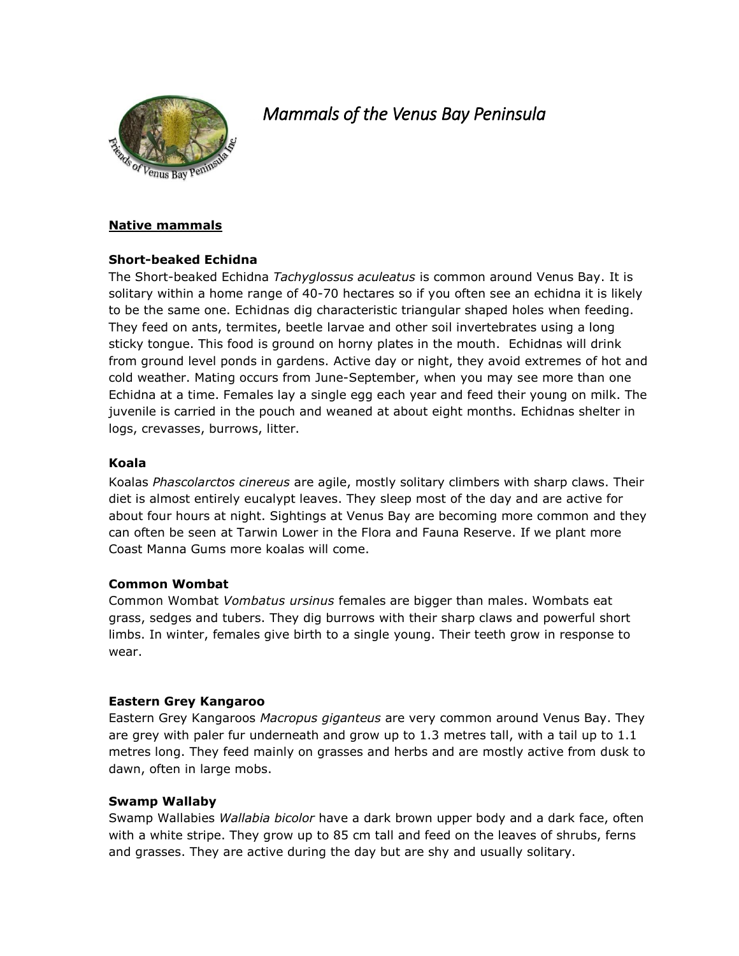

# *Mammals of the Venus Bay Peninsula*

# **Native mammals**

# **Short-beaked Echidna**

The Short-beaked Echidna *Tachyglossus aculeatus* is common around Venus Bay. It is solitary within a home range of 40-70 hectares so if you often see an echidna it is likely to be the same one. Echidnas dig characteristic triangular shaped holes when feeding. They feed on ants, termites, beetle larvae and other soil invertebrates using a long sticky tongue. This food is ground on horny plates in the mouth. Echidnas will drink from ground level ponds in gardens. Active day or night, they avoid extremes of hot and cold weather. Mating occurs from June-September, when you may see more than one Echidna at a time. Females lay a single egg each year and feed their young on milk. The juvenile is carried in the pouch and weaned at about eight months. Echidnas shelter in logs, crevasses, burrows, litter.

## **Koala**

Koalas *Phascolarctos cinereus* are agile, mostly solitary climbers with sharp claws. Their diet is almost entirely eucalypt leaves. They sleep most of the day and are active for about four hours at night. Sightings at Venus Bay are becoming more common and they can often be seen at Tarwin Lower in the Flora and Fauna Reserve. If we plant more Coast Manna Gums more koalas will come.

### **Common Wombat**

Common Wombat *Vombatus ursinus* females are bigger than males. Wombats eat grass, sedges and tubers. They dig burrows with their sharp claws and powerful short limbs. In winter, females give birth to a single young. Their teeth grow in response to wear.

# **Eastern Grey Kangaroo**

Eastern Grey Kangaroos *Macropus giganteus* are very common around Venus Bay. They are grey with paler fur underneath and grow up to 1.3 metres tall, with a tail up to 1.1 metres long. They feed mainly on grasses and herbs and are mostly active from dusk to dawn, often in large mobs.

# **Swamp Wallaby**

Swamp Wallabies *Wallabia bicolor* have a dark brown upper body and a dark face, often with a white stripe. They grow up to 85 cm tall and feed on the leaves of shrubs, ferns and grasses. They are active during the day but are shy and usually solitary.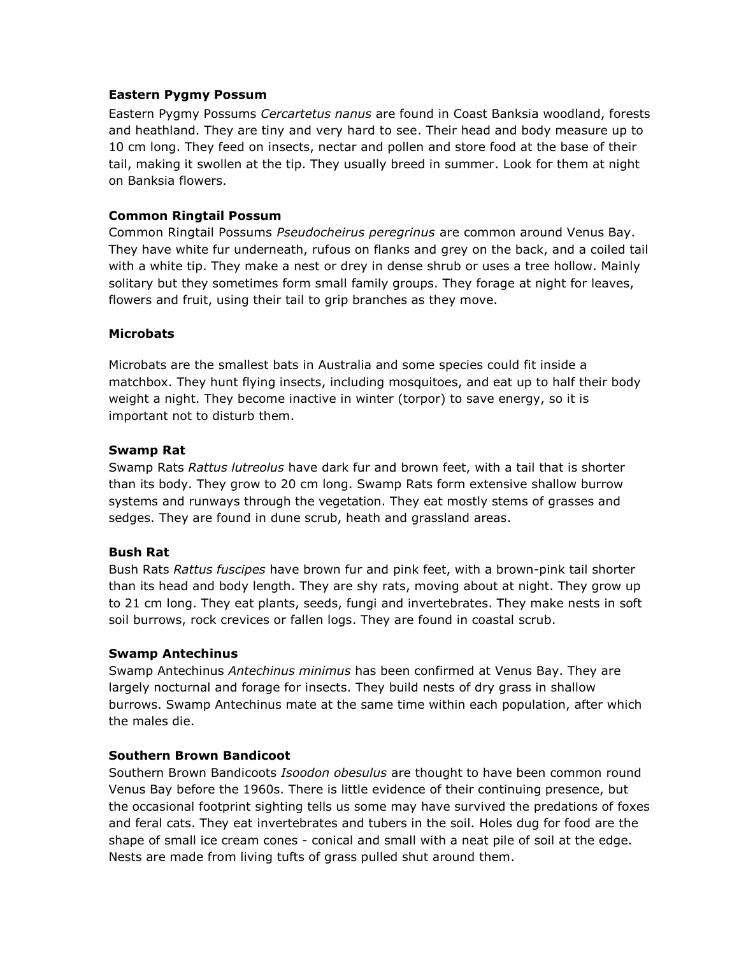### **Eastern Pygmy Possum**

Eastern Pygmy Possums *Cercartetus nanus* are found in Coast Banksia woodland, forests and heathland. They are tiny and very hard to see. Their head and body measure up to 10 cm long. They feed on insects, nectar and pollen and store food at the base of their tail, making it swollen at the tip. They usually breed in summer. Look for them at night on Banksia flowers.

# **Common Ringtail Possum**

Common Ringtail Possums *Pseudocheirus peregrinus* are common around Venus Bay. They have white fur underneath, rufous on flanks and grey on the back, and a coiled tail with a white tip. They make a nest or drey in dense shrub or uses a tree hollow. Mainly solitary but they sometimes form small family groups. They forage at night for leaves, flowers and fruit, using their tail to grip branches as they move.

# **Microbats**

Microbats are the smallest bats in Australia and some species could fit inside a matchbox. They hunt flying insects, including mosquitoes, and eat up to half their body weight a night. They become inactive in winter (torpor) to save energy, so it is important not to disturb them.

## **Swamp Rat**

Swamp Rats *Rattus lutreolus* have dark fur and brown feet, with a tail that is shorter than its body. They grow to 20 cm long. Swamp Rats form extensive shallow burrow systems and runways through the vegetation. They eat mostly stems of grasses and sedges. They are found in dune scrub, heath and grassland areas.

### **Bush Rat**

Bush Rats *Rattus fuscipes* have brown fur and pink feet, with a brown-pink tail shorter than its head and body length. They are shy rats, moving about at night. They grow up to 21 cm long. They eat plants, seeds, fungi and invertebrates. They make nests in soft soil burrows, rock crevices or fallen logs. They are found in coastal scrub.

### **Swamp Antechinus**

Swamp Antechinus *Antechinus minimus* has been confirmed at Venus Bay. They are largely nocturnal and forage for insects. They build nests of dry grass in shallow burrows. Swamp Antechinus mate at the same time within each population, after which the males die.

### **Southern Brown Bandicoot**

Southern Brown Bandicoots *Isoodon obesulus* are thought to have been common round Venus Bay before the 1960s. There is little evidence of their continuing presence, but the occasional footprint sighting tells us some may have survived the predations of foxes and feral cats. They eat invertebrates and tubers in the soil. Holes dug for food are the shape of small ice cream cones - conical and small with a neat pile of soil at the edge. Nests are made from living tufts of grass pulled shut around them.